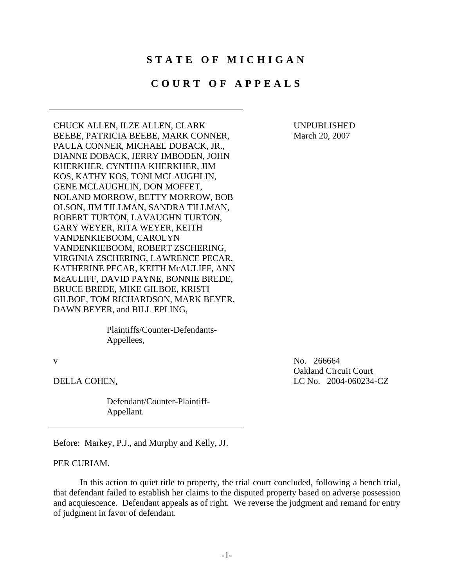## **STATE OF MICHIGAN**

## **COURT OF APPEALS**

CHUCK ALLEN, ILZE ALLEN, CLARK UNPUBLISHED BEEBE, PATRICIA BEEBE, MARK CONNER, March 20, 2007 PAULA CONNER, MICHAEL DOBACK, JR., DIANNE DOBACK, JERRY IMBODEN, JOHN KHERKHER, CYNTHIA KHERKHER, JIM KOS, KATHY KOS, TONI MCLAUGHLIN, GENE MCLAUGHLIN, DON MOFFET, NOLAND MORROW, BETTY MORROW, BOB OLSON, JIM TILLMAN, SANDRA TILLMAN, ROBERT TURTON, LAVAUGHN TURTON, GARY WEYER, RITA WEYER, KEITH VANDENKIEBOOM, CAROLYN VANDENKIEBOOM, ROBERT ZSCHERING, VIRGINIA ZSCHERING, LAWRENCE PECAR, KATHERINE PECAR, KEITH McAULIFF, ANN McAULIFF, DAVID PAYNE, BONNIE BREDE, BRUCE BREDE, MIKE GILBOE, KRISTI GILBOE, TOM RICHARDSON, MARK BEYER, DAWN BEYER, and BILL EPLING,

> Plaintiffs/Counter-Defendants-Appellees,

 Defendant/Counter-Plaintiff-Appellant.

v No. 266664 Oakland Circuit Court DELLA COHEN, LC No. 2004-060234-CZ

Before: Markey, P.J., and Murphy and Kelly, JJ.

PER CURIAM.

In this action to quiet title to property, the trial court concluded, following a bench trial, that defendant failed to establish her claims to the disputed property based on adverse possession and acquiescence. Defendant appeals as of right. We reverse the judgment and remand for entry of judgment in favor of defendant.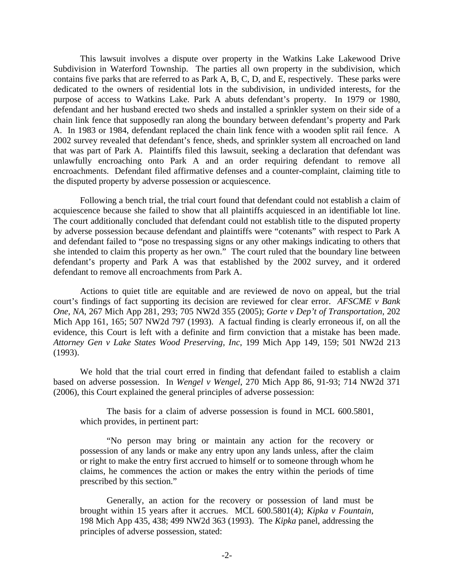This lawsuit involves a dispute over property in the Watkins Lake Lakewood Drive Subdivision in Waterford Township. The parties all own property in the subdivision, which contains five parks that are referred to as Park A, B, C, D, and E, respectively. These parks were dedicated to the owners of residential lots in the subdivision, in undivided interests, for the purpose of access to Watkins Lake. Park A abuts defendant's property. In 1979 or 1980, defendant and her husband erected two sheds and installed a sprinkler system on their side of a chain link fence that supposedly ran along the boundary between defendant's property and Park A. In 1983 or 1984, defendant replaced the chain link fence with a wooden split rail fence. A 2002 survey revealed that defendant's fence, sheds, and sprinkler system all encroached on land that was part of Park A. Plaintiffs filed this lawsuit, seeking a declaration that defendant was unlawfully encroaching onto Park A and an order requiring defendant to remove all encroachments. Defendant filed affirmative defenses and a counter-complaint, claiming title to the disputed property by adverse possession or acquiescence.

acquiescence because she failed to show that all plaintiffs acquiesced in an identifiable lot line. Following a bench trial, the trial court found that defendant could not establish a claim of The court additionally concluded that defendant could not establish title to the disputed property by adverse possession because defendant and plaintiffs were "cotenants" with respect to Park A and defendant failed to "pose no trespassing signs or any other makings indicating to others that she intended to claim this property as her own." The court ruled that the boundary line between defendant's property and Park A was that established by the 2002 survey, and it ordered defendant to remove all encroachments from Park A.

Actions to quiet title are equitable and are reviewed de novo on appeal, but the trial court's findings of fact supporting its decision are reviewed for clear error. *AFSCME v Bank One, NA*, 267 Mich App 281, 293; 705 NW2d 355 (2005); *Gorte v Dep't of Transportation*, 202 Mich App 161, 165; 507 NW2d 797 (1993). A factual finding is clearly erroneous if, on all the evidence, this Court is left with a definite and firm conviction that a mistake has been made. *Attorney Gen v Lake States Wood Preserving, Inc*, 199 Mich App 149, 159; 501 NW2d 213 (1993).

We hold that the trial court erred in finding that defendant failed to establish a claim based on adverse possession. In *Wengel v Wengel*, 270 Mich App 86, 91-93; 714 NW2d 371 (2006), this Court explained the general principles of adverse possession:

The basis for a claim of adverse possession is found in MCL 600.5801, which provides, in pertinent part:

"No person may bring or maintain any action for the recovery or possession of any lands or make any entry upon any lands unless, after the claim or right to make the entry first accrued to himself or to someone through whom he claims, he commences the action or makes the entry within the periods of time prescribed by this section."

Generally, an action for the recovery or possession of land must be brought within 15 years after it accrues. MCL 600.5801(4); *Kipka v Fountain*, 198 Mich App 435, 438; 499 NW2d 363 (1993). The *Kipka* panel, addressing the principles of adverse possession, stated: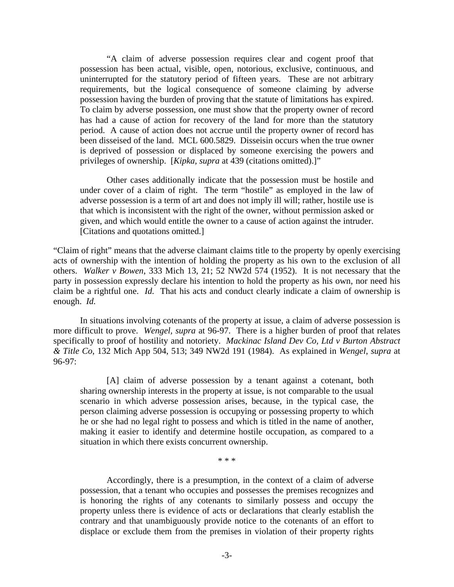"A claim of adverse possession requires clear and cogent proof that possession has been actual, visible, open, notorious, exclusive, continuous, and uninterrupted for the statutory period of fifteen years. These are not arbitrary requirements, but the logical consequence of someone claiming by adverse possession having the burden of proving that the statute of limitations has expired. To claim by adverse possession, one must show that the property owner of record has had a cause of action for recovery of the land for more than the statutory period. A cause of action does not accrue until the property owner of record has been disseised of the land. MCL 600.5829. Disseisin occurs when the true owner is deprived of possession or displaced by someone exercising the powers and privileges of ownership. [*Kipka, supra* at 439 (citations omitted).]"

Other cases additionally indicate that the possession must be hostile and under cover of a claim of right. The term "hostile" as employed in the law of adverse possession is a term of art and does not imply ill will; rather, hostile use is that which is inconsistent with the right of the owner, without permission asked or given, and which would entitle the owner to a cause of action against the intruder. [Citations and quotations omitted.]

 enough. *Id.* "Claim of right" means that the adverse claimant claims title to the property by openly exercising acts of ownership with the intention of holding the property as his own to the exclusion of all others. *Walker v Bowen*, 333 Mich 13, 21; 52 NW2d 574 (1952). It is not necessary that the party in possession expressly declare his intention to hold the property as his own, nor need his claim be a rightful one. *Id.* That his acts and conduct clearly indicate a claim of ownership is

 specifically to proof of hostility and notoriety. *Mackinac Island Dev Co, Ltd v Burton Abstract*  In situations involving cotenants of the property at issue, a claim of adverse possession is more difficult to prove. *Wengel, supra* at 96-97. There is a higher burden of proof that relates *& Title Co*, 132 Mich App 504, 513; 349 NW2d 191 (1984). As explained in *Wengel*, *supra* at 96-97:

[A] claim of adverse possession by a tenant against a cotenant, both sharing ownership interests in the property at issue, is not comparable to the usual scenario in which adverse possession arises, because, in the typical case, the person claiming adverse possession is occupying or possessing property to which he or she had no legal right to possess and which is titled in the name of another, making it easier to identify and determine hostile occupation, as compared to a situation in which there exists concurrent ownership.

\* \* \*

Accordingly, there is a presumption, in the context of a claim of adverse possession, that a tenant who occupies and possesses the premises recognizes and is honoring the rights of any cotenants to similarly possess and occupy the property unless there is evidence of acts or declarations that clearly establish the contrary and that unambiguously provide notice to the cotenants of an effort to displace or exclude them from the premises in violation of their property rights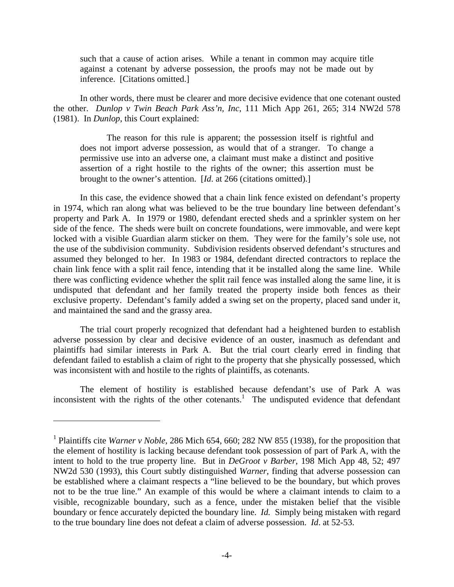such that a cause of action arises. While a tenant in common may acquire title against a cotenant by adverse possession, the proofs may not be made out by inference. [Citations omitted.]

In other words, there must be clearer and more decisive evidence that one cotenant ousted the other. *Dunlop v Twin Beach Park Ass'n, Inc*, 111 Mich App 261, 265; 314 NW2d 578 (1981). In *Dunlop*, this Court explained:

The reason for this rule is apparent; the possession itself is rightful and does not import adverse possession, as would that of a stranger. To change a permissive use into an adverse one, a claimant must make a distinct and positive assertion of a right hostile to the rights of the owner; this assertion must be brought to the owner's attention. [*Id*. at 266 (citations omitted).]

In this case, the evidence showed that a chain link fence existed on defendant's property in 1974, which ran along what was believed to be the true boundary line between defendant's property and Park A. In 1979 or 1980, defendant erected sheds and a sprinkler system on her side of the fence. The sheds were built on concrete foundations, were immovable, and were kept locked with a visible Guardian alarm sticker on them. They were for the family's sole use, not the use of the subdivision community. Subdivision residents observed defendant's structures and assumed they belonged to her. In 1983 or 1984, defendant directed contractors to replace the chain link fence with a split rail fence, intending that it be installed along the same line. While there was conflicting evidence whether the split rail fence was installed along the same line, it is undisputed that defendant and her family treated the property inside both fences as their exclusive property. Defendant's family added a swing set on the property, placed sand under it, and maintained the sand and the grassy area.

The trial court properly recognized that defendant had a heightened burden to establish adverse possession by clear and decisive evidence of an ouster, inasmuch as defendant and plaintiffs had similar interests in Park A. But the trial court clearly erred in finding that defendant failed to establish a claim of right to the property that she physically possessed, which was inconsistent with and hostile to the rights of plaintiffs, as cotenants.

The element of hostility is established because defendant's use of Park A was inconsistent with the rights of the other cotenants.<sup>1</sup> The undisputed evidence that defendant

 $\overline{a}$ 

<sup>&</sup>lt;sup>1</sup> Plaintiffs cite *Warner v Noble*, 286 Mich 654, 660; 282 NW 855 (1938), for the proposition that the element of hostility is lacking because defendant took possession of part of Park A, with the intent to hold to the true property line. But in *DeGroot v Barber*, 198 Mich App 48, 52; 497 NW2d 530 (1993), this Court subtly distinguished *Warner*, finding that adverse possession can be established where a claimant respects a "line believed to be the boundary, but which proves not to be the true line." An example of this would be where a claimant intends to claim to a visible, recognizable boundary, such as a fence, under the mistaken belief that the visible boundary or fence accurately depicted the boundary line. *Id.* Simply being mistaken with regard to the true boundary line does not defeat a claim of adverse possession. *Id*. at 52-53.